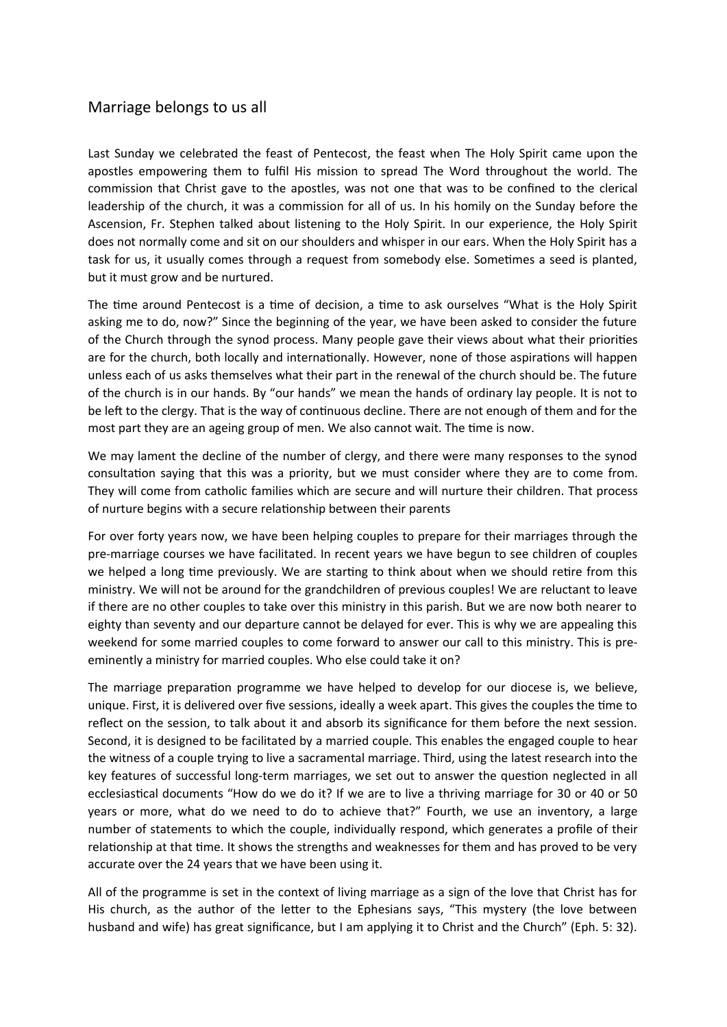## Marriage belongs to us all

Last Sunday we celebrated the feast of Pentecost, the feast when The Holy Spirit came upon the apostles empowering them to fulfil His mission to spread The Word throughout the world. The commission that Christ gave to the apostles, was not one that was to be confined to the clerical leadership of the church, it was a commission for all of us. In his homily on the Sunday before the Ascension, Fr. Stephen talked about listening to the Holy Spirit. In our experience, the Holy Spirit does not normally come and sit on our shoulders and whisper in our ears. When the Holy Spirit has a task for us, it usually comes through a request from somebody else. Sometimes a seed is planted, but it must grow and be nurtured.

The time around Pentecost is a time of decision, a time to ask ourselves "What is the Holy Spirit asking me to do, now?" Since the beginning of the year, we have been asked to consider the future of the Church through the synod process. Many people gave their views about what their priorities are for the church, both locally and internationally. However, none of those aspirations will happen unless each of us asks themselves what their part in the renewal of the church should be. The future of the church is in our hands. By "our hands" we mean the hands of ordinary lay people. It is not to be left to the clergy. That is the way of continuous decline. There are not enough of them and for the most part they are an ageing group of men. We also cannot wait. The time is now.

We may lament the decline of the number of clergy, and there were many responses to the synod consultation saying that this was a priority, but we must consider where they are to come from. They will come from catholic families which are secure and will nurture their children. That process of nurture begins with a secure relationship between their parents

For over forty years now, we have been helping couples to prepare for their marriages through the pre-marriage courses we have facilitated. In recent years we have begun to see children of couples we helped a long time previously. We are starting to think about when we should retire from this ministry. We will not be around for the grandchildren of previous couples! We are reluctant to leave if there are no other couples to take over this ministry in this parish. But we are now both nearer to eighty than seventy and our departure cannot be delayed for ever. This is why we are appealing this weekend for some married couples to come forward to answer our call to this ministry. This is preeminently a ministry for married couples. Who else could take it on?

The marriage preparation programme we have helped to develop for our diocese is, we believe, unique. First, it is delivered over five sessions, ideally a week apart. This gives the couples the time to reflect on the session, to talk about it and absorb its significance for them before the next session. Second, it is designed to be facilitated by a married couple. This enables the engaged couple to hear the witness of a couple trying to live a sacramental marriage. Third, using the latest research into the key features of successful long-term marriages, we set out to answer the question neglected in all ecclesiastical documents "How do we do it? If we are to live a thriving marriage for 30 or 40 or 50 years or more, what do we need to do to achieve that?" Fourth, we use an inventory, a large number of statements to which the couple, individually respond, which generates a profile of their relationship at that time. It shows the strengths and weaknesses for them and has proved to be very accurate over the 24 years that we have been using it.

All of the programme is set in the context of living marriage as a sign of the love that Christ has for His church, as the author of the letter to the Ephesians says, "This mystery (the love between husband and wife) has great significance, but I am applying it to Christ and the Church" (Eph. 5: 32).